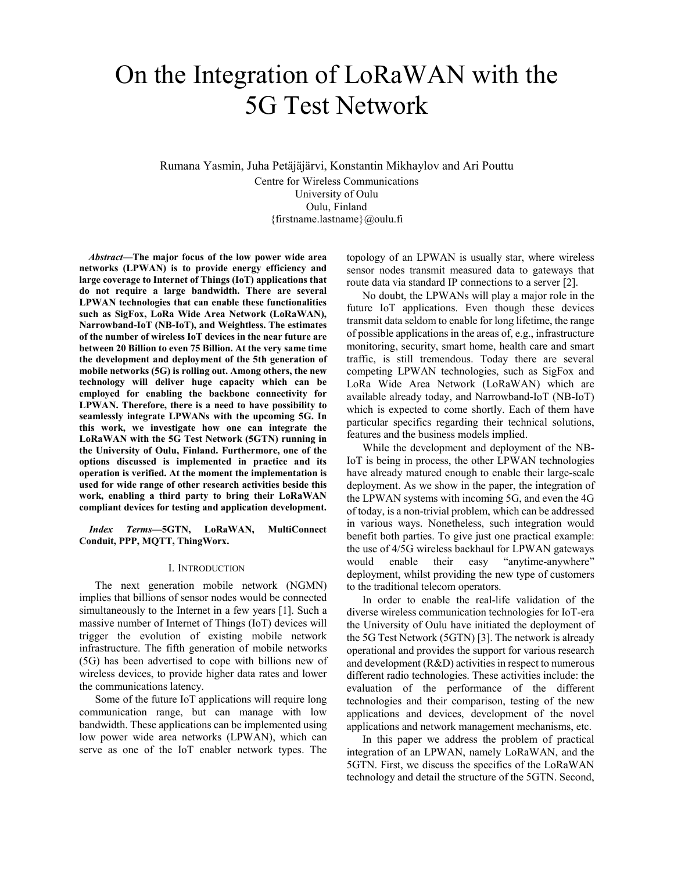# On the Integration of LoRaWAN with the 5G Test Network

Rumana Yasmin, Juha Petäjäjärvi, Konstantin Mikhaylov and Ari Pouttu Centre for Wireless Communications University of Oulu Oulu, Finland {firstname.lastname}@oulu.fi

*Abstract***—The major focus of the low power wide area networks (LPWAN) is to provide energy efficiency and large coverage to Internet of Things (IoT) applications that do not require a large bandwidth. There are several LPWAN technologies that can enable these functionalities such as SigFox, LoRa Wide Area Network (LoRaWAN), Narrowband-IoT (NB-IoT), and Weightless. The estimates of the number of wireless IoT devices in the near future are between 20 Billion to even 75 Billion. At the very same time the development and deployment of the 5th generation of mobile networks (5G) is rolling out. Among others, the new technology will deliver huge capacity which can be employed for enabling the backbone connectivity for LPWAN. Therefore, there is a need to have possibility to seamlessly integrate LPWANs with the upcoming 5G. In this work, we investigate how one can integrate the LoRaWAN with the 5G Test Network (5GTN) running in the University of Oulu, Finland. Furthermore, one of the options discussed is implemented in practice and its operation is verified. At the moment the implementation is used for wide range of other research activities beside this work, enabling a third party to bring their LoRaWAN compliant devices for testing and application development.**

*Index Terms***—5GTN, LoRaWAN, MultiConnect Conduit, PPP, MQTT, ThingWorx.** 

#### I. INTRODUCTION

The next generation mobile network (NGMN) implies that billions of sensor nodes would be connected simultaneously to the Internet in a few years [1]. Such a massive number of Internet of Things (IoT) devices will trigger the evolution of existing mobile network infrastructure. The fifth generation of mobile networks (5G) has been advertised to cope with billions new of wireless devices, to provide higher data rates and lower the communications latency.

Some of the future IoT applications will require long communication range, but can manage with low bandwidth. These applications can be implemented using low power wide area networks (LPWAN), which can serve as one of the IoT enabler network types. The topology of an LPWAN is usually star, where wireless sensor nodes transmit measured data to gateways that route data via standard IP connections to a server [2].

No doubt, the LPWANs will play a major role in the future IoT applications. Even though these devices transmit data seldom to enable for long lifetime, the range of possible applications in the areas of, e.g., infrastructure monitoring, security, smart home, health care and smart traffic, is still tremendous. Today there are several competing LPWAN technologies, such as SigFox and LoRa Wide Area Network (LoRaWAN) which are available already today, and Narrowband-IoT (NB-IoT) which is expected to come shortly. Each of them have particular specifics regarding their technical solutions, features and the business models implied.

While the development and deployment of the NB-IoT is being in process, the other LPWAN technologies have already matured enough to enable their large-scale deployment. As we show in the paper, the integration of the LPWAN systems with incoming 5G, and even the 4G of today, is a non-trivial problem, which can be addressed in various ways. Nonetheless, such integration would benefit both parties. To give just one practical example: the use of 4/5G wireless backhaul for LPWAN gateways would enable their easy "anytime-anywhere" deployment, whilst providing the new type of customers to the traditional telecom operators.

In order to enable the real-life validation of the diverse wireless communication technologies for IoT-era the University of Oulu have initiated the deployment of the 5G Test Network (5GTN) [3]. The network is already operational and provides the support for various research and development (R&D) activities in respect to numerous different radio technologies. These activities include: the evaluation of the performance of the different technologies and their comparison, testing of the new applications and devices, development of the novel applications and network management mechanisms, etc.

In this paper we address the problem of practical integration of an LPWAN, namely LoRaWAN, and the 5GTN. First, we discuss the specifics of the LoRaWAN technology and detail the structure of the 5GTN. Second,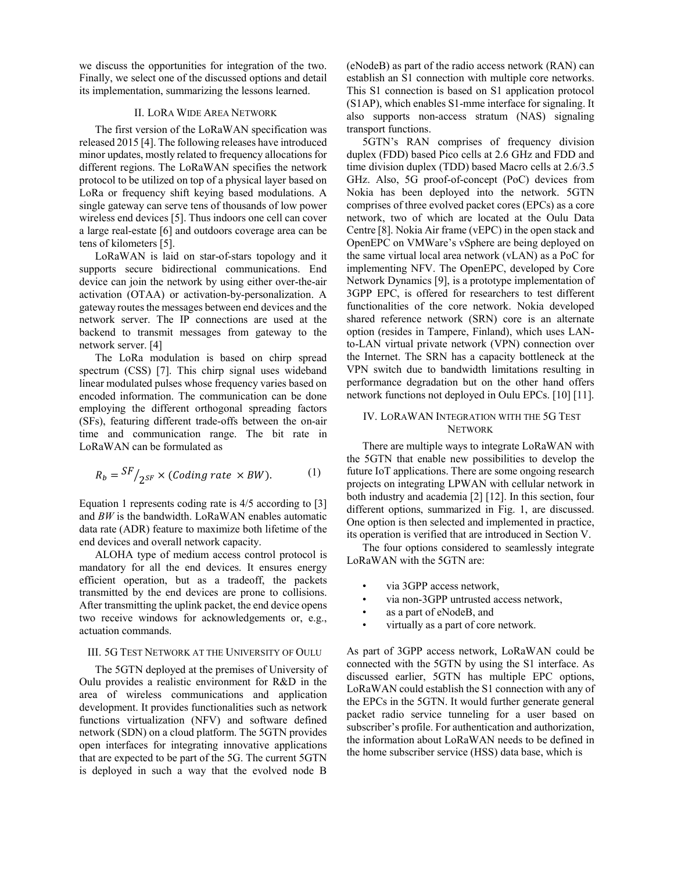we discuss the opportunities for integration of the two. Finally, we select one of the discussed options and detail its implementation, summarizing the lessons learned.

## II. LORA WIDE AREA NETWORK

The first version of the LoRaWAN specification was released 2015 [4]. The following releases have introduced minor updates, mostly related to frequency allocations for different regions. The LoRaWAN specifies the network protocol to be utilized on top of a physical layer based on LoRa or frequency shift keying based modulations. A single gateway can serve tens of thousands of low power wireless end devices [5]. Thus indoors one cell can cover a large real-estate [6] and outdoors coverage area can be tens of kilometers [5].

LoRaWAN is laid on star-of-stars topology and it supports secure bidirectional communications. End device can join the network by using either over-the-air activation (OTAA) or activation-by-personalization. A gateway routes the messages between end devices and the network server. The IP connections are used at the backend to transmit messages from gateway to the network server. [4]

The LoRa modulation is based on chirp spread spectrum (CSS) [7]. This chirp signal uses wideband linear modulated pulses whose frequency varies based on encoded information. The communication can be done employing the different orthogonal spreading factors (SFs), featuring different trade-offs between the on-air time and communication range. The bit rate in LoRaWAN can be formulated as

$$
R_b = \frac{SF}{2^{SF}} \times (Coding\ rate \times BW). \tag{1}
$$

Equation 1 represents coding rate is 4/5 according to [3] and *BW* is the bandwidth. LoRaWAN enables automatic data rate (ADR) feature to maximize both lifetime of the end devices and overall network capacity.

ALOHA type of medium access control protocol is mandatory for all the end devices. It ensures energy efficient operation, but as a tradeoff, the packets transmitted by the end devices are prone to collisions. After transmitting the uplink packet, the end device opens two receive windows for acknowledgements or, e.g., actuation commands.

## III. 5G TEST NETWORK AT THE UNIVERSITY OF OULU

The 5GTN deployed at the premises of University of Oulu provides a realistic environment for R&D in the area of wireless communications and application development. It provides functionalities such as network functions virtualization (NFV) and software defined network (SDN) on a cloud platform. The 5GTN provides open interfaces for integrating innovative applications that are expected to be part of the 5G. The current 5GTN is deployed in such a way that the evolved node B

(eNodeB) as part of the radio access network (RAN) can establish an S1 connection with multiple core networks. This S1 connection is based on S1 application protocol (S1AP), which enables S1-mme interface for signaling. It also supports non-access stratum (NAS) signaling transport functions.

5GTN's RAN comprises of frequency division duplex (FDD) based Pico cells at 2.6 GHz and FDD and time division duplex (TDD) based Macro cells at 2.6/3.5 GHz. Also, 5G proof-of-concept (PoC) devices from Nokia has been deployed into the network. 5GTN comprises of three evolved packet cores (EPCs) as a core network, two of which are located at the Oulu Data Centre [8]. Nokia Air frame (vEPC) in the open stack and OpenEPC on VMWare's vSphere are being deployed on the same virtual local area network (vLAN) as a PoC for implementing NFV. The OpenEPC, developed by Core Network Dynamics [9], is a prototype implementation of 3GPP EPC, is offered for researchers to test different functionalities of the core network. Nokia developed shared reference network (SRN) core is an alternate option (resides in Tampere, Finland), which uses LANto-LAN virtual private network (VPN) connection over the Internet. The SRN has a capacity bottleneck at the VPN switch due to bandwidth limitations resulting in performance degradation but on the other hand offers network functions not deployed in Oulu EPCs. [10] [11].

# IV. LORAWAN INTEGRATION WITH THE 5G TEST **NETWORK**

There are multiple ways to integrate LoRaWAN with the 5GTN that enable new possibilities to develop the future IoT applications. There are some ongoing research projects on integrating LPWAN with cellular network in both industry and academia [2] [12]. In this section, four different options, summarized in Fig. 1, are discussed. One option is then selected and implemented in practice, its operation is verified that are introduced in Section V.

The four options considered to seamlessly integrate LoRaWAN with the 5GTN are:

- via 3GPP access network,
- via non-3GPP untrusted access network,
- as a part of eNodeB, and
- virtually as a part of core network.

As part of 3GPP access network, LoRaWAN could be connected with the 5GTN by using the S1 interface. As discussed earlier, 5GTN has multiple EPC options, LoRaWAN could establish the S1 connection with any of the EPCs in the 5GTN. It would further generate general packet radio service tunneling for a user based on subscriber's profile. For authentication and authorization, the information about LoRaWAN needs to be defined in the home subscriber service (HSS) data base, which is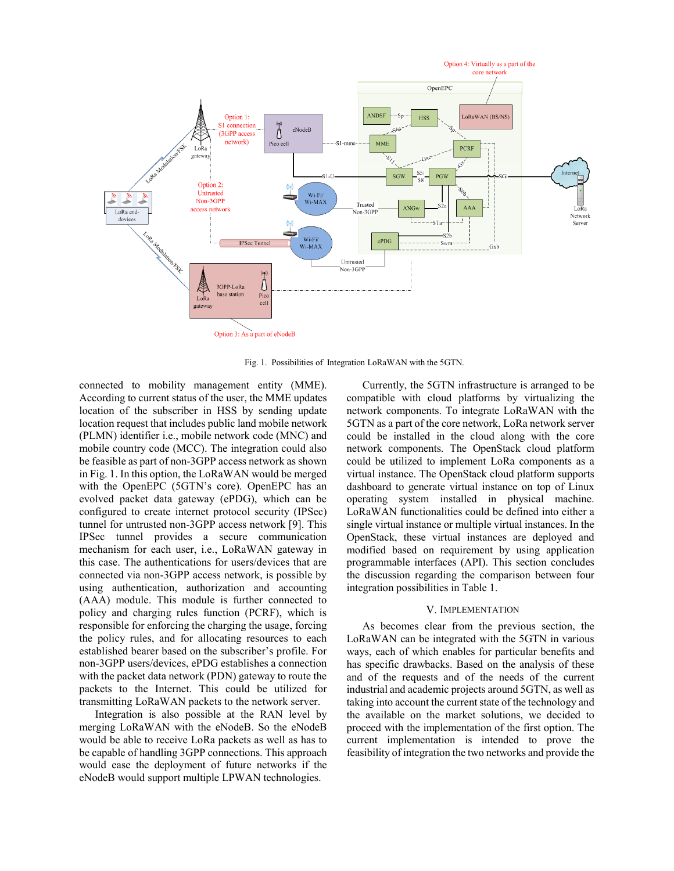

Fig. 1. Possibilities of Integration LoRaWAN with the 5GTN.

connected to mobility management entity (MME). According to current status of the user, the MME updates location of the subscriber in HSS by sending update location request that includes public land mobile network (PLMN) identifier i.e., mobile network code (MNC) and mobile country code (MCC). The integration could also be feasible as part of non-3GPP access network as shown in Fig. 1. In this option, the LoRaWAN would be merged with the OpenEPC (5GTN's core). OpenEPC has an evolved packet data gateway (ePDG), which can be configured to create internet protocol security (IPSec) tunnel for untrusted non-3GPP access network [9]. This IPSec tunnel provides a secure communication mechanism for each user, i.e., LoRaWAN gateway in this case. The authentications for users/devices that are connected via non-3GPP access network, is possible by using authentication, authorization and accounting (AAA) module. This module is further connected to policy and charging rules function (PCRF), which is responsible for enforcing the charging the usage, forcing the policy rules, and for allocating resources to each established bearer based on the subscriber's profile. For non-3GPP users/devices, ePDG establishes a connection with the packet data network (PDN) gateway to route the packets to the Internet. This could be utilized for transmitting LoRaWAN packets to the network server.

Integration is also possible at the RAN level by merging LoRaWAN with the eNodeB. So the eNodeB would be able to receive LoRa packets as well as has to be capable of handling 3GPP connections. This approach would ease the deployment of future networks if the eNodeB would support multiple LPWAN technologies.

Currently, the 5GTN infrastructure is arranged to be compatible with cloud platforms by virtualizing the network components. To integrate LoRaWAN with the 5GTN as a part of the core network, LoRa network server could be installed in the cloud along with the core network components. The OpenStack cloud platform could be utilized to implement LoRa components as a virtual instance. The OpenStack cloud platform supports dashboard to generate virtual instance on top of Linux operating system installed in physical machine. LoRaWAN functionalities could be defined into either a single virtual instance or multiple virtual instances. In the OpenStack, these virtual instances are deployed and modified based on requirement by using application programmable interfaces (API). This section concludes the discussion regarding the comparison between four integration possibilities in Table 1.

#### V. IMPLEMENTATION

As becomes clear from the previous section, the LoRaWAN can be integrated with the 5GTN in various ways, each of which enables for particular benefits and has specific drawbacks. Based on the analysis of these and of the requests and of the needs of the current industrial and academic projects around 5GTN, as well as taking into account the current state of the technology and the available on the market solutions, we decided to proceed with the implementation of the first option. The current implementation is intended to prove the feasibility of integration the two networks and provide the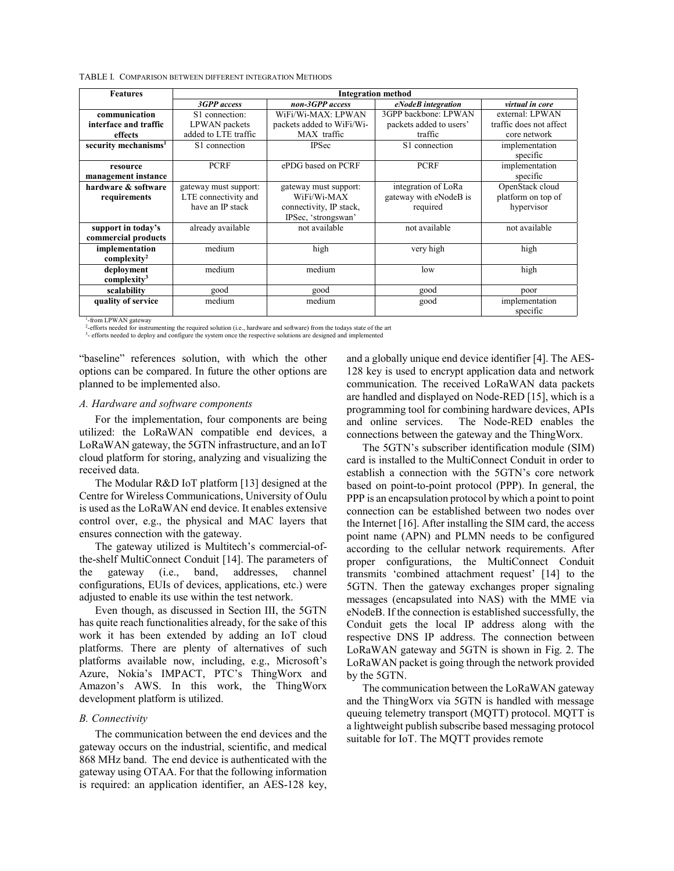TABLE I. COMPARISON BETWEEN DIFFERENT INTEGRATION METHODS

| <b>Features</b>                  | <b>Integration method</b> |                           |                         |                         |
|----------------------------------|---------------------------|---------------------------|-------------------------|-------------------------|
|                                  | 3GPP access               | non-3GPP access           | eNodeB integration      | virtual in core         |
| communication                    | S1 connection:            | WiFi/Wi-MAX: LPWAN        | 3GPP backbone: LPWAN    | external: LPWAN         |
| interface and traffic            | LPWAN packets             | packets added to WiFi/Wi- | packets added to users' | traffic does not affect |
| effects                          | added to LTE traffic      | MAX traffic               | traffic                 | core network            |
| security mechanisms <sup>1</sup> | S1 connection             | <b>IPSec</b>              | S1 connection           | implementation          |
|                                  |                           |                           |                         | specific                |
| resource                         | <b>PCRF</b>               | ePDG based on PCRF        | <b>PCRF</b>             | implementation          |
| management instance              |                           |                           |                         | specific                |
| hardware & software              | gateway must support:     | gateway must support:     | integration of LoRa     | OpenStack cloud         |
| requirements                     | LTE connectivity and      | WiFi/Wi-MAX               | gateway with eNodeB is  | platform on top of      |
|                                  | have an IP stack          | connectivity, IP stack,   | required                | hypervisor              |
|                                  |                           | IPSec, 'strongswan'       |                         |                         |
| support in today's               | already available         | not available             | not available           | not available           |
| commercial products              |                           |                           |                         |                         |
| implementation                   | medium                    | high                      | very high               | high                    |
| complexity <sup>2</sup>          |                           |                           |                         |                         |
| deployment                       | medium                    | medium                    | low                     | high                    |
| complexity <sup>3</sup>          |                           |                           |                         |                         |
| scalability                      | good                      | good                      | good                    | poor                    |
| quality of service               | medium                    | medium                    | good                    | implementation          |
|                                  |                           |                           |                         | specific                |
| <sup>1</sup> -from LPWAN gateway |                           |                           |                         |                         |

<sup>2</sup>-efforts needed for instrumenting the required solution (i.e., hardware and software) from the todays state of the art

<sup>3</sup>- efforts needed to deploy and configure the system once the respective solutions are designed and implemented

"baseline" references solution, with which the other options can be compared. In future the other options are planned to be implemented also.

#### *A. Hardware and software components*

For the implementation, four components are being utilized: the LoRaWAN compatible end devices, a LoRaWAN gateway, the 5GTN infrastructure, and an IoT cloud platform for storing, analyzing and visualizing the received data.

The Modular R&D IoT platform [13] designed at the Centre for Wireless Communications, University of Oulu is used as the LoRaWAN end device. It enables extensive control over, e.g., the physical and MAC layers that ensures connection with the gateway.

The gateway utilized is Multitech's commercial-ofthe-shelf MultiConnect Conduit [14]. The parameters of the gateway (i.e., band, addresses, channel configurations, EUIs of devices, applications, etc.) were adjusted to enable its use within the test network.

Even though, as discussed in Section III, the 5GTN has quite reach functionalities already, for the sake of this work it has been extended by adding an IoT cloud platforms. There are plenty of alternatives of such platforms available now, including, e.g., Microsoft's Azure, Nokia's IMPACT, PTC's ThingWorx and Amazon's AWS. In this work, the ThingWorx development platform is utilized.

#### *B. Connectivity*

The communication between the end devices and the gateway occurs on the industrial, scientific, and medical 868 MHz band. The end device is authenticated with the gateway using OTAA. For that the following information is required: an application identifier, an AES-128 key, and a globally unique end device identifier [4]. The AES-128 key is used to encrypt application data and network communication. The received LoRaWAN data packets are handled and displayed on Node-RED [15], which is a programming tool for combining hardware devices, APIs and online services. The Node-RED enables the connections between the gateway and the ThingWorx.

The 5GTN's subscriber identification module (SIM) card is installed to the MultiConnect Conduit in order to establish a connection with the 5GTN's core network based on point-to-point protocol (PPP). In general, the PPP is an encapsulation protocol by which a point to point connection can be established between two nodes over the Internet [16]. After installing the SIM card, the access point name (APN) and PLMN needs to be configured according to the cellular network requirements. After proper configurations, the MultiConnect Conduit transmits 'combined attachment request' [14] to the 5GTN. Then the gateway exchanges proper signaling messages (encapsulated into NAS) with the MME via eNodeB. If the connection is established successfully, the Conduit gets the local IP address along with the respective DNS IP address. The connection between LoRaWAN gateway and 5GTN is shown in Fig. 2. The LoRaWAN packet is going through the network provided by the 5GTN.

The communication between the LoRaWAN gateway and the ThingWorx via 5GTN is handled with message queuing telemetry transport (MQTT) protocol. MQTT is a lightweight publish subscribe based messaging protocol suitable for IoT. The MQTT provides remote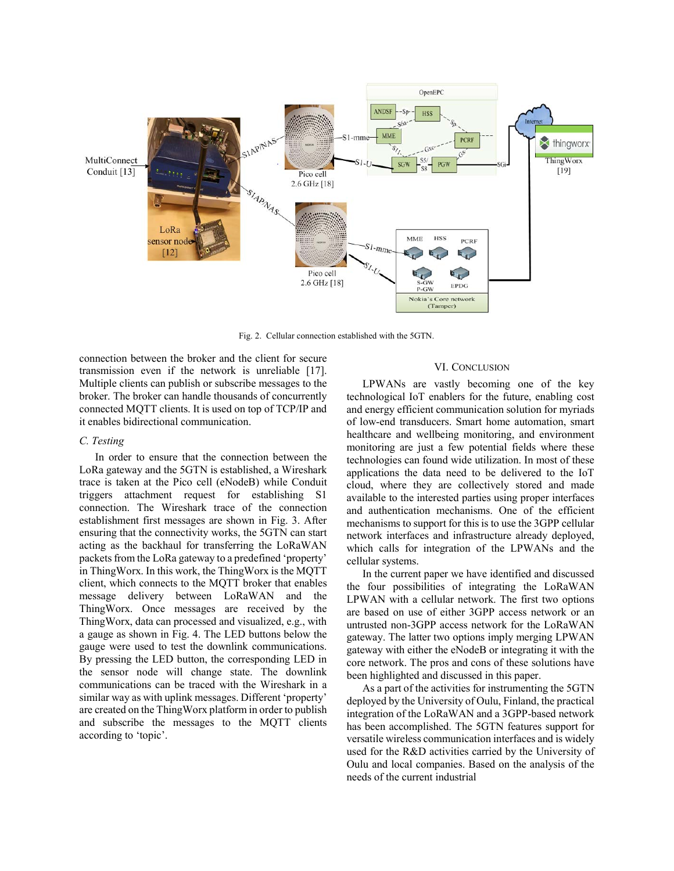

Fig. 2. Cellular connection established with the 5GTN.

connection between the broker and the client for secure transmission even if the network is unreliable [17]. Multiple clients can publish or subscribe messages to the broker. The broker can handle thousands of concurrently connected MQTT clients. It is used on top of TCP/IP and it enables bidirectional communication.

#### *C. Testing*

In order to ensure that the connection between the LoRa gateway and the 5GTN is established, a Wireshark trace is taken at the Pico cell (eNodeB) while Conduit triggers attachment request for establishing S1 connection. The Wireshark trace of the connection establishment first messages are shown in Fig. 3. After ensuring that the connectivity works, the 5GTN can start acting as the backhaul for transferring the LoRaWAN packets from the LoRa gateway to a predefined 'property' in ThingWorx. In this work, the ThingWorx is the MQTT client, which connects to the MQTT broker that enables message delivery between LoRaWAN and the ThingWorx. Once messages are received by the ThingWorx, data can processed and visualized, e.g., with a gauge as shown in Fig. 4. The LED buttons below the gauge were used to test the downlink communications. By pressing the LED button, the corresponding LED in the sensor node will change state. The downlink communications can be traced with the Wireshark in a similar way as with uplink messages. Different 'property' are created on the ThingWorx platform in order to publish and subscribe the messages to the MQTT clients according to 'topic'.

#### VI. CONCLUSION

LPWANs are vastly becoming one of the key technological IoT enablers for the future, enabling cost and energy efficient communication solution for myriads of low-end transducers. Smart home automation, smart healthcare and wellbeing monitoring, and environment monitoring are just a few potential fields where these technologies can found wide utilization. In most of these applications the data need to be delivered to the IoT cloud, where they are collectively stored and made available to the interested parties using proper interfaces and authentication mechanisms. One of the efficient mechanisms to support for this is to use the 3GPP cellular network interfaces and infrastructure already deployed, which calls for integration of the LPWANs and the cellular systems.

In the current paper we have identified and discussed the four possibilities of integrating the LoRaWAN LPWAN with a cellular network. The first two options are based on use of either 3GPP access network or an untrusted non-3GPP access network for the LoRaWAN gateway. The latter two options imply merging LPWAN gateway with either the eNodeB or integrating it with the core network. The pros and cons of these solutions have been highlighted and discussed in this paper.

As a part of the activities for instrumenting the 5GTN deployed by the University of Oulu, Finland, the practical integration of the LoRaWAN and a 3GPP-based network has been accomplished. The 5GTN features support for versatile wireless communication interfaces and is widely used for the R&D activities carried by the University of Oulu and local companies. Based on the analysis of the needs of the current industrial